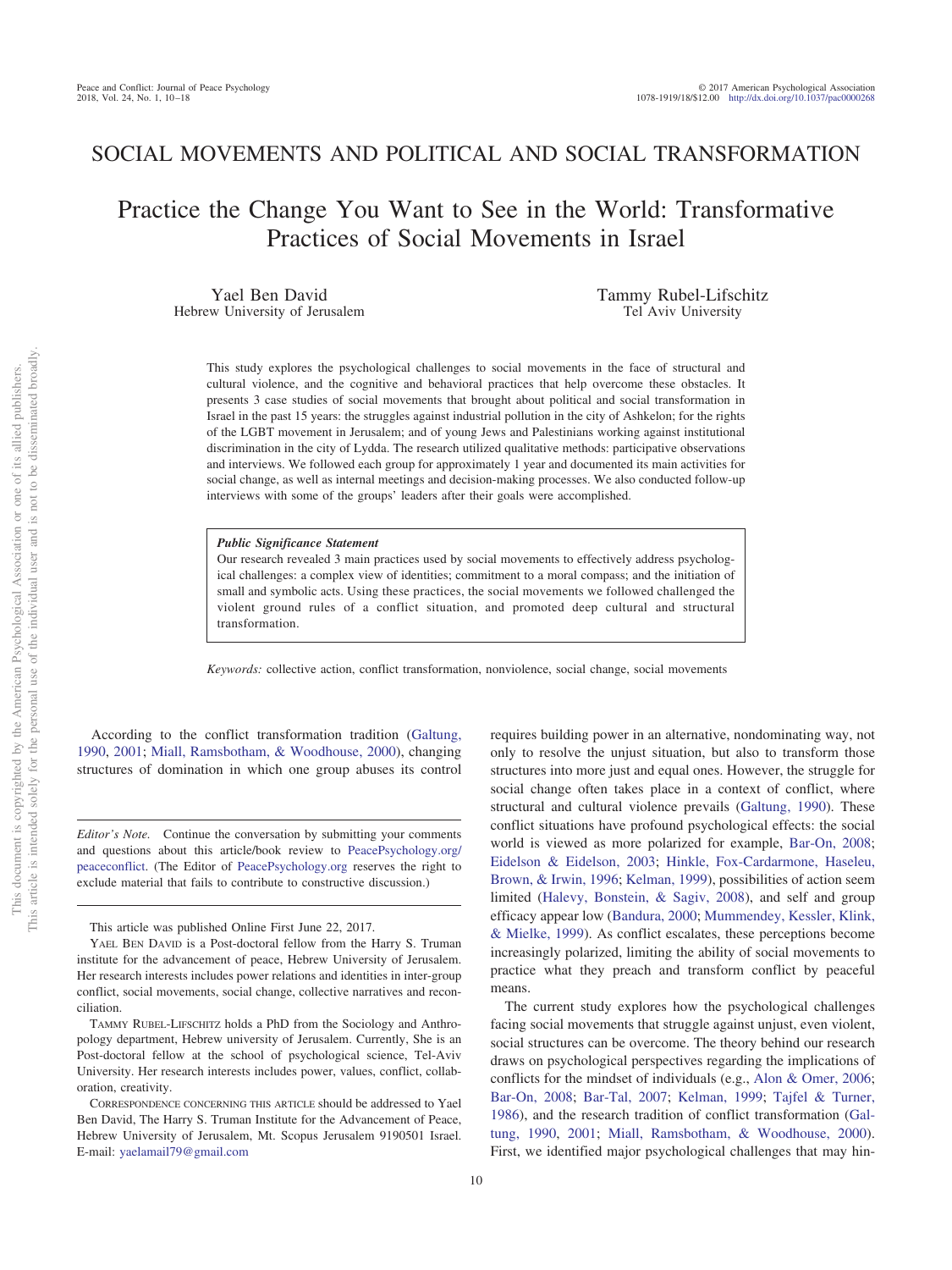# SOCIAL MOVEMENTS AND POLITICAL AND SOCIAL TRANSFORMATION

Practice the Change You Want to See in the World: Transformative Practices of Social Movements in Israel

Yael Ben David Hebrew University of Jerusalem Tammy Rubel-Lifschitz Tel Aviv University

This study explores the psychological challenges to social movements in the face of structural and cultural violence, and the cognitive and behavioral practices that help overcome these obstacles. It presents 3 case studies of social movements that brought about political and social transformation in Israel in the past 15 years: the struggles against industrial pollution in the city of Ashkelon; for the rights of the LGBT movement in Jerusalem; and of young Jews and Palestinians working against institutional discrimination in the city of Lydda. The research utilized qualitative methods: participative observations and interviews. We followed each group for approximately 1 year and documented its main activities for social change, as well as internal meetings and decision-making processes. We also conducted follow-up interviews with some of the groups' leaders after their goals were accomplished.

#### *Public Significance Statement*

Our research revealed 3 main practices used by social movements to effectively address psychological challenges: a complex view of identities; commitment to a moral compass; and the initiation of small and symbolic acts. Using these practices, the social movements we followed challenged the violent ground rules of a conflict situation, and promoted deep cultural and structural transformation.

*Keywords:* collective action, conflict transformation, nonviolence, social change, social movements

According to the conflict transformation tradition [\(Galtung,](#page-7-0) [1990,](#page-7-0) [2001;](#page-7-1) [Miall, Ramsbotham, & Woodhouse, 2000\)](#page-8-0), changing structures of domination in which one group abuses its control

*Editor's Note.* Continue the conversation by submitting your comments and questions about this article/book review to [PeacePsychology.org/](http://PeacePsychology.org/peaceconflict) [peaceconflict.](http://PeacePsychology.org/peaceconflict) (The Editor of [PeacePsychology.org](http://PeacePsychology.org) reserves the right to exclude material that fails to contribute to constructive discussion.)

This article was published Online First June 22, 2017.

requires building power in an alternative, nondominating way, not only to resolve the unjust situation, but also to transform those structures into more just and equal ones. However, the struggle for social change often takes place in a context of conflict, where structural and cultural violence prevails [\(Galtung, 1990\)](#page-7-0). These conflict situations have profound psychological effects: the social world is viewed as more polarized for example, [Bar-On, 2008;](#page-7-2) [Eidelson & Eidelson, 2003;](#page-7-3) [Hinkle, Fox-Cardarmone, Haseleu,](#page-8-1) [Brown, & Irwin, 1996;](#page-8-1) [Kelman, 1999\)](#page-8-2), possibilities of action seem limited [\(Halevy, Bonstein, & Sagiv, 2008\)](#page-8-3), and self and group efficacy appear low [\(Bandura, 2000;](#page-7-4) [Mummendey, Kessler, Klink,](#page-8-4) [& Mielke, 1999\)](#page-8-4). As conflict escalates, these perceptions become increasingly polarized, limiting the ability of social movements to practice what they preach and transform conflict by peaceful means.

The current study explores how the psychological challenges facing social movements that struggle against unjust, even violent, social structures can be overcome. The theory behind our research draws on psychological perspectives regarding the implications of conflicts for the mindset of individuals (e.g., [Alon & Omer, 2006;](#page-7-5) [Bar-On, 2008;](#page-7-2) [Bar-Tal, 2007;](#page-7-6) [Kelman, 1999;](#page-8-2) [Tajfel & Turner,](#page-8-5) [1986\)](#page-8-5), and the research tradition of conflict transformation [\(Gal](#page-7-0)[tung, 1990,](#page-7-0) [2001;](#page-7-1) [Miall, Ramsbotham, & Woodhouse, 2000\)](#page-8-0). First, we identified major psychological challenges that may hin-

YAEL BEN DAVID is a Post-doctoral fellow from the Harry S. Truman institute for the advancement of peace, Hebrew University of Jerusalem. Her research interests includes power relations and identities in inter-group conflict, social movements, social change, collective narratives and reconciliation.

TAMMY RUBEL-LIFSCHITZ holds a PhD from the Sociology and Anthropology department, Hebrew university of Jerusalem. Currently, She is an Post-doctoral fellow at the school of psychological science, Tel-Aviv University. Her research interests includes power, values, conflict, collaboration, creativity.

CORRESPONDENCE CONCERNING THIS ARTICLE should be addressed to Yael Ben David, The Harry S. Truman Institute for the Advancement of Peace, Hebrew University of Jerusalem, Mt. Scopus Jerusalem 9190501 Israel. E-mail: [yaelamail79@gmail.com](mailto:yaelamail79@gmail.com)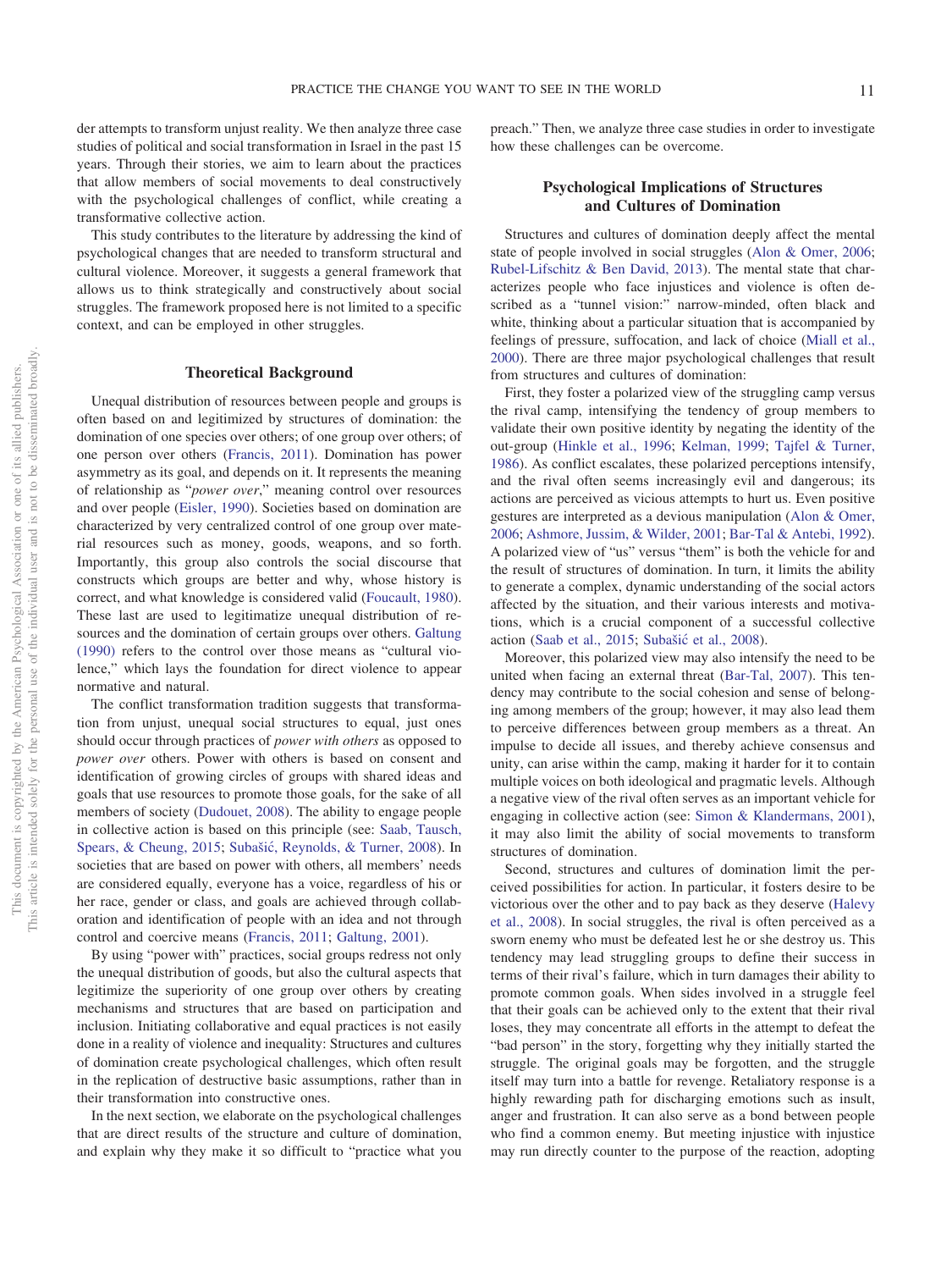der attempts to transform unjust reality. We then analyze three case studies of political and social transformation in Israel in the past 15 years. Through their stories, we aim to learn about the practices that allow members of social movements to deal constructively with the psychological challenges of conflict, while creating a transformative collective action.

This study contributes to the literature by addressing the kind of psychological changes that are needed to transform structural and cultural violence. Moreover, it suggests a general framework that allows us to think strategically and constructively about social struggles. The framework proposed here is not limited to a specific context, and can be employed in other struggles.

### **Theoretical Background**

Unequal distribution of resources between people and groups is often based on and legitimized by structures of domination: the domination of one species over others; of one group over others; of one person over others [\(Francis, 2011\)](#page-7-7). Domination has power asymmetry as its goal, and depends on it. It represents the meaning of relationship as "*power over*," meaning control over resources and over people [\(Eisler, 1990\)](#page-7-8). Societies based on domination are characterized by very centralized control of one group over material resources such as money, goods, weapons, and so forth. Importantly, this group also controls the social discourse that constructs which groups are better and why, whose history is correct, and what knowledge is considered valid [\(Foucault, 1980\)](#page-7-9). These last are used to legitimatize unequal distribution of resources and the domination of certain groups over others. [Galtung](#page-7-0) [\(1990\)](#page-7-0) refers to the control over those means as "cultural violence," which lays the foundation for direct violence to appear normative and natural.

The conflict transformation tradition suggests that transformation from unjust, unequal social structures to equal, just ones should occur through practices of *power with others* as opposed to *power over* others. Power with others is based on consent and identification of growing circles of groups with shared ideas and goals that use resources to promote those goals, for the sake of all members of society [\(Dudouet, 2008\)](#page-7-10). The ability to engage people in collective action is based on this principle (see: [Saab, Tausch,](#page-8-6) [Spears, & Cheung, 2015;](#page-8-6) Subašić, Reynolds, & Turner, 2008). In societies that are based on power with others, all members' needs are considered equally, everyone has a voice, regardless of his or her race, gender or class, and goals are achieved through collaboration and identification of people with an idea and not through control and coercive means [\(Francis, 2011;](#page-7-7) [Galtung, 2001\)](#page-7-1).

By using "power with" practices, social groups redress not only the unequal distribution of goods, but also the cultural aspects that legitimize the superiority of one group over others by creating mechanisms and structures that are based on participation and inclusion. Initiating collaborative and equal practices is not easily done in a reality of violence and inequality: Structures and cultures of domination create psychological challenges, which often result in the replication of destructive basic assumptions, rather than in their transformation into constructive ones.

In the next section, we elaborate on the psychological challenges that are direct results of the structure and culture of domination, and explain why they make it so difficult to "practice what you

preach." Then, we analyze three case studies in order to investigate how these challenges can be overcome.

# **Psychological Implications of Structures and Cultures of Domination**

Structures and cultures of domination deeply affect the mental state of people involved in social struggles [\(Alon & Omer, 2006;](#page-7-5) [Rubel-Lifschitz & Ben David, 2013\)](#page-8-8). The mental state that characterizes people who face injustices and violence is often described as a "tunnel vision:" narrow-minded, often black and white, thinking about a particular situation that is accompanied by feelings of pressure, suffocation, and lack of choice [\(Miall et al.,](#page-8-0) [2000\)](#page-8-0). There are three major psychological challenges that result from structures and cultures of domination:

First, they foster a polarized view of the struggling camp versus the rival camp, intensifying the tendency of group members to validate their own positive identity by negating the identity of the out-group [\(Hinkle et al., 1996;](#page-8-1) [Kelman, 1999;](#page-8-2) [Tajfel & Turner,](#page-8-5) [1986\)](#page-8-5). As conflict escalates, these polarized perceptions intensify, and the rival often seems increasingly evil and dangerous; its actions are perceived as vicious attempts to hurt us. Even positive gestures are interpreted as a devious manipulation [\(Alon & Omer,](#page-7-5) [2006;](#page-7-5) [Ashmore, Jussim, & Wilder, 2001;](#page-7-11) [Bar-Tal & Antebi, 1992\)](#page-7-12). A polarized view of "us" versus "them" is both the vehicle for and the result of structures of domination. In turn, it limits the ability to generate a complex, dynamic understanding of the social actors affected by the situation, and their various interests and motivations, which is a crucial component of a successful collective action [\(Saab et al., 2015;](#page-8-6) Subašić et al., 2008).

Moreover, this polarized view may also intensify the need to be united when facing an external threat [\(Bar-Tal, 2007\)](#page-7-6). This tendency may contribute to the social cohesion and sense of belonging among members of the group; however, it may also lead them to perceive differences between group members as a threat. An impulse to decide all issues, and thereby achieve consensus and unity, can arise within the camp, making it harder for it to contain multiple voices on both ideological and pragmatic levels. Although a negative view of the rival often serves as an important vehicle for engaging in collective action (see: [Simon & Klandermans, 2001\)](#page-8-9), it may also limit the ability of social movements to transform structures of domination.

Second, structures and cultures of domination limit the perceived possibilities for action. In particular, it fosters desire to be victorious over the other and to pay back as they deserve [\(Halevy](#page-8-3) [et al., 2008\)](#page-8-3). In social struggles, the rival is often perceived as a sworn enemy who must be defeated lest he or she destroy us. This tendency may lead struggling groups to define their success in terms of their rival's failure, which in turn damages their ability to promote common goals. When sides involved in a struggle feel that their goals can be achieved only to the extent that their rival loses, they may concentrate all efforts in the attempt to defeat the "bad person" in the story, forgetting why they initially started the struggle. The original goals may be forgotten, and the struggle itself may turn into a battle for revenge. Retaliatory response is a highly rewarding path for discharging emotions such as insult, anger and frustration. It can also serve as a bond between people who find a common enemy. But meeting injustice with injustice may run directly counter to the purpose of the reaction, adopting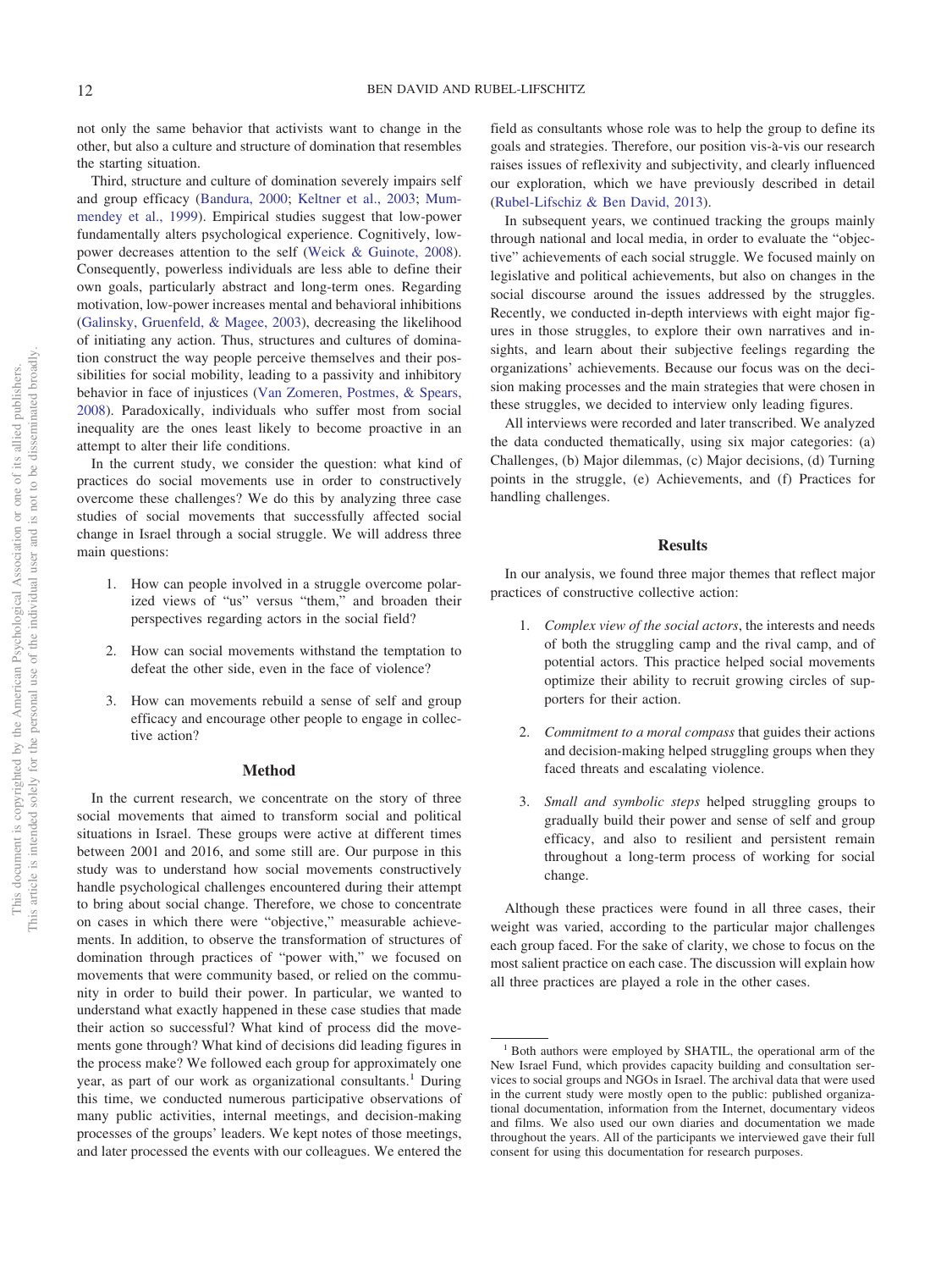not only the same behavior that activists want to change in the other, but also a culture and structure of domination that resembles the starting situation.

Third, structure and culture of domination severely impairs self and group efficacy [\(Bandura, 2000;](#page-7-4) [Keltner et al., 2003;](#page-8-10) [Mum](#page-8-4)[mendey et al., 1999\)](#page-8-4). Empirical studies suggest that low-power fundamentally alters psychological experience. Cognitively, lowpower decreases attention to the self [\(Weick & Guinote, 2008\)](#page-8-11). Consequently, powerless individuals are less able to define their own goals, particularly abstract and long-term ones. Regarding motivation, low-power increases mental and behavioral inhibitions [\(Galinsky, Gruenfeld, & Magee, 2003\)](#page-7-13), decreasing the likelihood of initiating any action. Thus, structures and cultures of domination construct the way people perceive themselves and their possibilities for social mobility, leading to a passivity and inhibitory behavior in face of injustices [\(Van Zomeren, Postmes, & Spears,](#page-8-12) [2008\)](#page-8-12). Paradoxically, individuals who suffer most from social inequality are the ones least likely to become proactive in an attempt to alter their life conditions.

In the current study, we consider the question: what kind of practices do social movements use in order to constructively overcome these challenges? We do this by analyzing three case studies of social movements that successfully affected social change in Israel through a social struggle. We will address three main questions:

- 1. How can people involved in a struggle overcome polarized views of "us" versus "them," and broaden their perspectives regarding actors in the social field?
- 2. How can social movements withstand the temptation to defeat the other side, even in the face of violence?
- 3. How can movements rebuild a sense of self and group efficacy and encourage other people to engage in collective action?

### **Method**

In the current research, we concentrate on the story of three social movements that aimed to transform social and political situations in Israel. These groups were active at different times between 2001 and 2016, and some still are. Our purpose in this study was to understand how social movements constructively handle psychological challenges encountered during their attempt to bring about social change. Therefore, we chose to concentrate on cases in which there were "objective," measurable achievements. In addition, to observe the transformation of structures of domination through practices of "power with," we focused on movements that were community based, or relied on the community in order to build their power. In particular, we wanted to understand what exactly happened in these case studies that made their action so successful? What kind of process did the movements gone through? What kind of decisions did leading figures in the process make? We followed each group for approximately one year, as part of our work as organizational consultants.<sup>1</sup> During this time, we conducted numerous participative observations of many public activities, internal meetings, and decision-making processes of the groups' leaders. We kept notes of those meetings, and later processed the events with our colleagues. We entered the

field as consultants whose role was to help the group to define its goals and strategies. Therefore, our position vis-à-vis our research raises issues of reflexivity and subjectivity, and clearly influenced our exploration, which we have previously described in detail [\(Rubel-Lifschiz & Ben David, 2013\)](#page-8-8).

In subsequent years, we continued tracking the groups mainly through national and local media, in order to evaluate the "objective" achievements of each social struggle. We focused mainly on legislative and political achievements, but also on changes in the social discourse around the issues addressed by the struggles. Recently, we conducted in-depth interviews with eight major figures in those struggles, to explore their own narratives and insights, and learn about their subjective feelings regarding the organizations' achievements. Because our focus was on the decision making processes and the main strategies that were chosen in these struggles, we decided to interview only leading figures.

All interviews were recorded and later transcribed. We analyzed the data conducted thematically, using six major categories: (a) Challenges, (b) Major dilemmas, (c) Major decisions, (d) Turning points in the struggle, (e) Achievements, and (f) Practices for handling challenges.

### **Results**

In our analysis, we found three major themes that reflect major practices of constructive collective action:

- 1. *Complex view of the social actors*, the interests and needs of both the struggling camp and the rival camp, and of potential actors. This practice helped social movements optimize their ability to recruit growing circles of supporters for their action.
- 2. *Commitment to a moral compass* that guides their actions and decision-making helped struggling groups when they faced threats and escalating violence.
- 3. *Small and symbolic steps* helped struggling groups to gradually build their power and sense of self and group efficacy, and also to resilient and persistent remain throughout a long-term process of working for social change.

Although these practices were found in all three cases, their weight was varied, according to the particular major challenges each group faced. For the sake of clarity, we chose to focus on the most salient practice on each case. The discussion will explain how all three practices are played a role in the other cases.

<sup>&</sup>lt;sup>1</sup> Both authors were employed by SHATIL, the operational arm of the New Israel Fund, which provides capacity building and consultation services to social groups and NGOs in Israel. The archival data that were used in the current study were mostly open to the public: published organizational documentation, information from the Internet, documentary videos and films. We also used our own diaries and documentation we made throughout the years. All of the participants we interviewed gave their full consent for using this documentation for research purposes.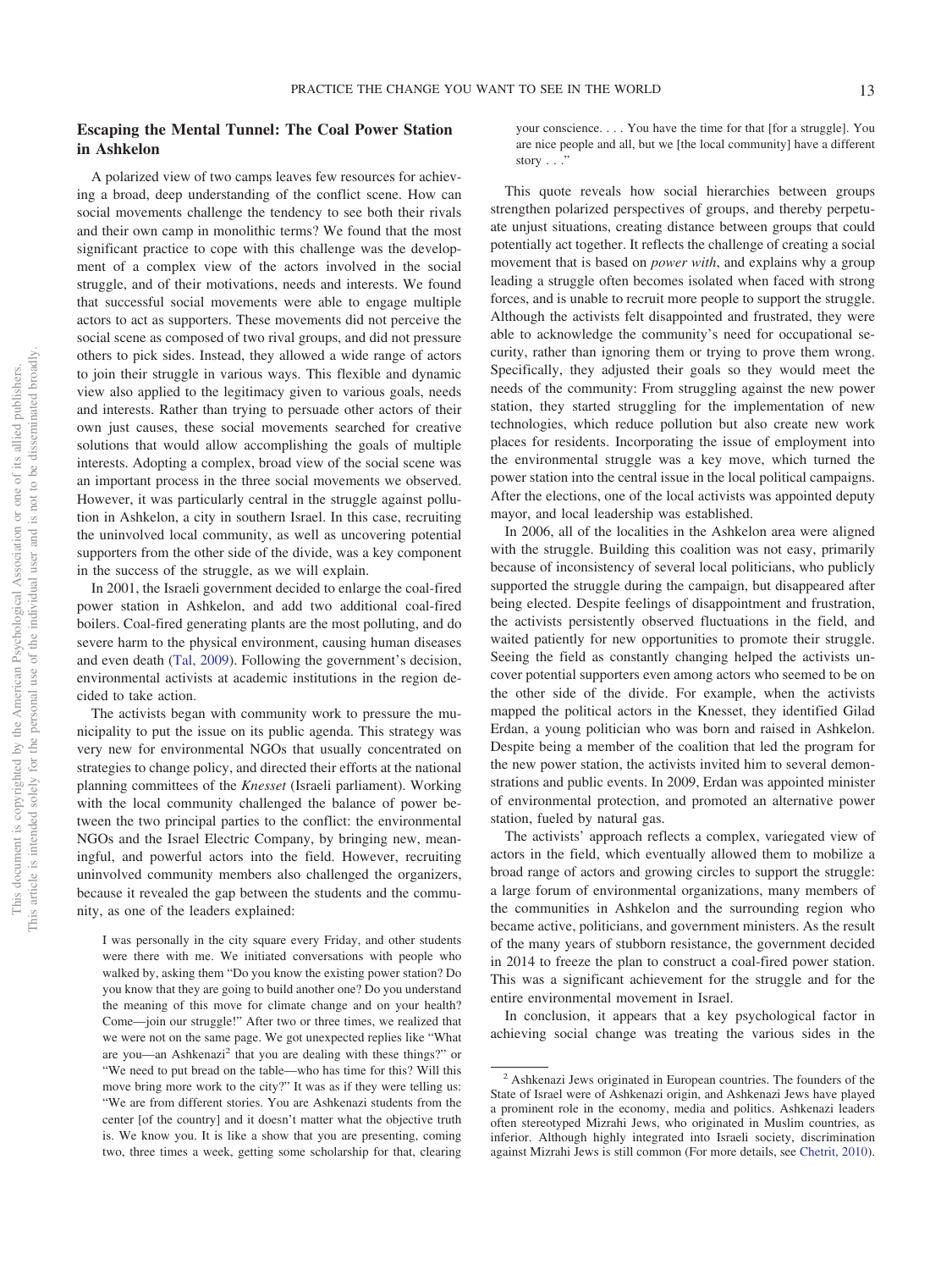# **Escaping the Mental Tunnel: The Coal Power Station in Ashkelon**

A polarized view of two camps leaves few resources for achieving a broad, deep understanding of the conflict scene. How can social movements challenge the tendency to see both their rivals and their own camp in monolithic terms? We found that the most significant practice to cope with this challenge was the development of a complex view of the actors involved in the social struggle, and of their motivations, needs and interests. We found that successful social movements were able to engage multiple actors to act as supporters. These movements did not perceive the social scene as composed of two rival groups, and did not pressure others to pick sides. Instead, they allowed a wide range of actors to join their struggle in various ways. This flexible and dynamic view also applied to the legitimacy given to various goals, needs and interests. Rather than trying to persuade other actors of their own just causes, these social movements searched for creative solutions that would allow accomplishing the goals of multiple interests. Adopting a complex, broad view of the social scene was an important process in the three social movements we observed. However, it was particularly central in the struggle against pollution in Ashkelon, a city in southern Israel. In this case, recruiting the uninvolved local community, as well as uncovering potential supporters from the other side of the divide, was a key component in the success of the struggle, as we will explain.

In 2001, the Israeli government decided to enlarge the coal-fired power station in Ashkelon, and add two additional coal-fired boilers. Coal-fired generating plants are the most polluting, and do severe harm to the physical environment, causing human diseases and even death [\(Tal, 2009\)](#page-8-13). Following the government's decision, environmental activists at academic institutions in the region decided to take action.

The activists began with community work to pressure the municipality to put the issue on its public agenda. This strategy was very new for environmental NGOs that usually concentrated on strategies to change policy, and directed their efforts at the national planning committees of the *Knesset* (Israeli parliament). Working with the local community challenged the balance of power between the two principal parties to the conflict: the environmental NGOs and the Israel Electric Company, by bringing new, meaningful, and powerful actors into the field. However, recruiting uninvolved community members also challenged the organizers, because it revealed the gap between the students and the community, as one of the leaders explained:

I was personally in the city square every Friday, and other students were there with me. We initiated conversations with people who walked by, asking them "Do you know the existing power station? Do you know that they are going to build another one? Do you understand the meaning of this move for climate change and on your health? Come—join our struggle!" After two or three times, we realized that we were not on the same page. We got unexpected replies like "What are you—an Ashkenazi<sup>2</sup> that you are dealing with these things?" or "We need to put bread on the table—who has time for this? Will this move bring more work to the city?" It was as if they were telling us: "We are from different stories. You are Ashkenazi students from the center [of the country] and it doesn't matter what the objective truth is. We know you. It is like a show that you are presenting, coming two, three times a week, getting some scholarship for that, clearing

your conscience. . . . You have the time for that [for a struggle]. You are nice people and all, but we [the local community] have a different story  $\ldots$ 

This quote reveals how social hierarchies between groups strengthen polarized perspectives of groups, and thereby perpetuate unjust situations, creating distance between groups that could potentially act together. It reflects the challenge of creating a social movement that is based on *power with*, and explains why a group leading a struggle often becomes isolated when faced with strong forces, and is unable to recruit more people to support the struggle. Although the activists felt disappointed and frustrated, they were able to acknowledge the community's need for occupational security, rather than ignoring them or trying to prove them wrong. Specifically, they adjusted their goals so they would meet the needs of the community: From struggling against the new power station, they started struggling for the implementation of new technologies, which reduce pollution but also create new work places for residents. Incorporating the issue of employment into the environmental struggle was a key move, which turned the power station into the central issue in the local political campaigns. After the elections, one of the local activists was appointed deputy mayor, and local leadership was established.

In 2006, all of the localities in the Ashkelon area were aligned with the struggle. Building this coalition was not easy, primarily because of inconsistency of several local politicians, who publicly supported the struggle during the campaign, but disappeared after being elected. Despite feelings of disappointment and frustration, the activists persistently observed fluctuations in the field, and waited patiently for new opportunities to promote their struggle. Seeing the field as constantly changing helped the activists uncover potential supporters even among actors who seemed to be on the other side of the divide. For example, when the activists mapped the political actors in the Knesset, they identified Gilad Erdan, a young politician who was born and raised in Ashkelon. Despite being a member of the coalition that led the program for the new power station, the activists invited him to several demonstrations and public events. In 2009, Erdan was appointed minister of environmental protection, and promoted an alternative power station, fueled by natural gas.

The activists' approach reflects a complex, variegated view of actors in the field, which eventually allowed them to mobilize a broad range of actors and growing circles to support the struggle: a large forum of environmental organizations, many members of the communities in Ashkelon and the surrounding region who became active, politicians, and government ministers. As the result of the many years of stubborn resistance, the government decided in 2014 to freeze the plan to construct a coal-fired power station. This was a significant achievement for the struggle and for the entire environmental movement in Israel.

In conclusion, it appears that a key psychological factor in achieving social change was treating the various sides in the

<sup>&</sup>lt;sup>2</sup> Ashkenazi Jews originated in European countries. The founders of the State of Israel were of Ashkenazi origin, and Ashkenazi Jews have played a prominent role in the economy, media and politics. Ashkenazi leaders often stereotyped Mizrahi Jews, who originated in Muslim countries, as inferior. Although highly integrated into Israeli society, discrimination against Mizrahi Jews is still common (For more details, see [Chetrit, 2010\)](#page-7-14).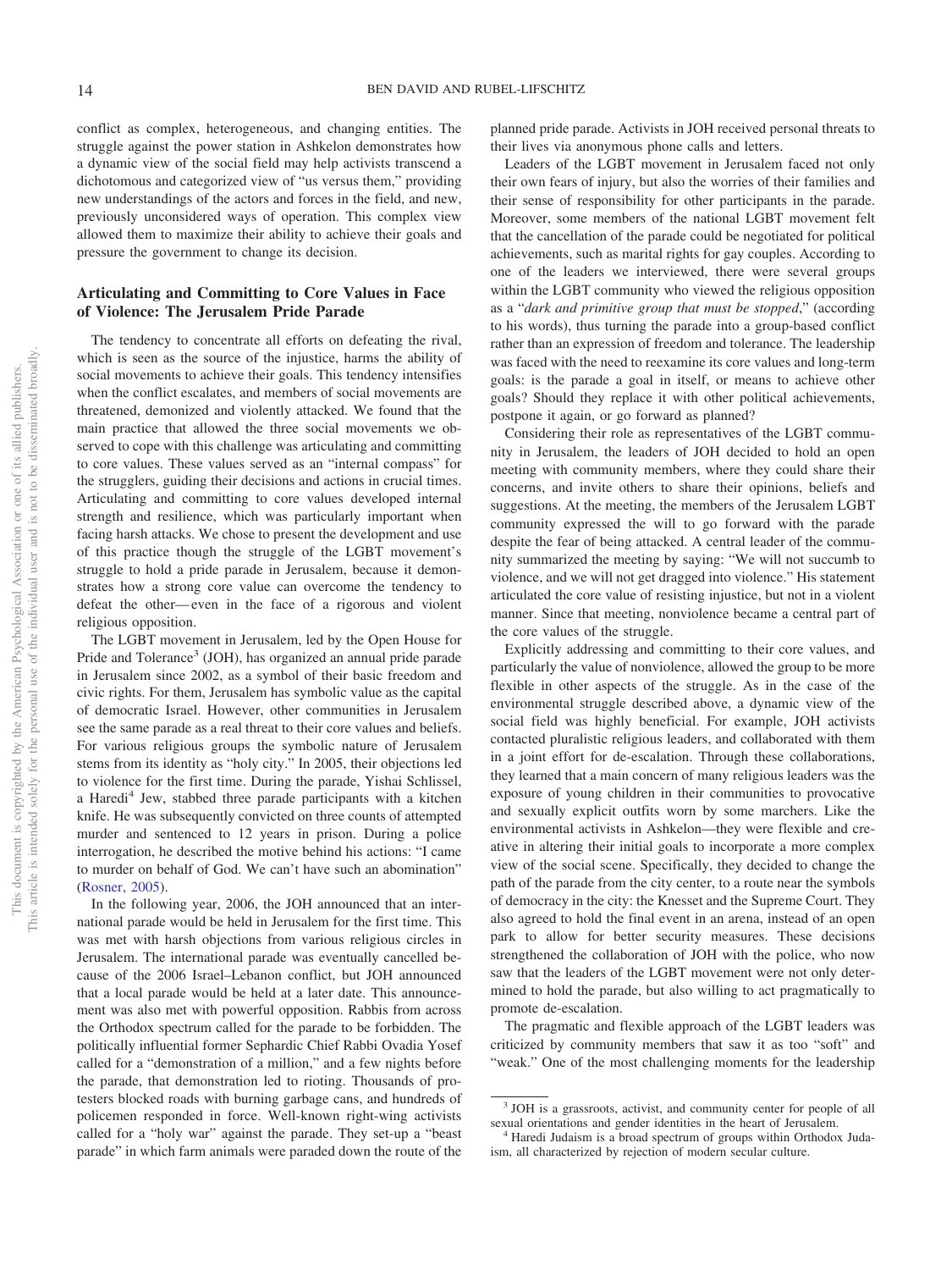conflict as complex, heterogeneous, and changing entities. The struggle against the power station in Ashkelon demonstrates how a dynamic view of the social field may help activists transcend a dichotomous and categorized view of "us versus them," providing new understandings of the actors and forces in the field, and new, previously unconsidered ways of operation. This complex view allowed them to maximize their ability to achieve their goals and pressure the government to change its decision.

### **Articulating and Committing to Core Values in Face of Violence: The Jerusalem Pride Parade**

The tendency to concentrate all efforts on defeating the rival, which is seen as the source of the injustice, harms the ability of social movements to achieve their goals. This tendency intensifies when the conflict escalates, and members of social movements are threatened, demonized and violently attacked. We found that the main practice that allowed the three social movements we observed to cope with this challenge was articulating and committing to core values. These values served as an "internal compass" for the strugglers, guiding their decisions and actions in crucial times. Articulating and committing to core values developed internal strength and resilience, which was particularly important when facing harsh attacks. We chose to present the development and use of this practice though the struggle of the LGBT movement's struggle to hold a pride parade in Jerusalem, because it demonstrates how a strong core value can overcome the tendency to defeat the other— even in the face of a rigorous and violent religious opposition.

The LGBT movement in Jerusalem, led by the Open House for Pride and Tolerance<sup>3</sup> (JOH), has organized an annual pride parade in Jerusalem since 2002, as a symbol of their basic freedom and civic rights. For them, Jerusalem has symbolic value as the capital of democratic Israel. However, other communities in Jerusalem see the same parade as a real threat to their core values and beliefs. For various religious groups the symbolic nature of Jerusalem stems from its identity as "holy city." In 2005, their objections led to violence for the first time. During the parade, Yishai Schlissel, a Haredi<sup>4</sup> Jew, stabbed three parade participants with a kitchen knife. He was subsequently convicted on three counts of attempted murder and sentenced to 12 years in prison. During a police interrogation, he described the motive behind his actions: "I came to murder on behalf of God. We can't have such an abomination" [\(Rosner, 2005\)](#page-8-14).

In the following year, 2006, the JOH announced that an international parade would be held in Jerusalem for the first time. This was met with harsh objections from various religious circles in Jerusalem. The international parade was eventually cancelled because of the 2006 Israel–Lebanon conflict, but JOH announced that a local parade would be held at a later date. This announcement was also met with powerful opposition. Rabbis from across the Orthodox spectrum called for the parade to be forbidden. The politically influential former Sephardic Chief Rabbi Ovadia Yosef called for a "demonstration of a million," and a few nights before the parade, that demonstration led to rioting. Thousands of protesters blocked roads with burning garbage cans, and hundreds of policemen responded in force. Well-known right-wing activists called for a "holy war" against the parade. They set-up a "beast parade" in which farm animals were paraded down the route of the planned pride parade. Activists in JOH received personal threats to their lives via anonymous phone calls and letters.

Leaders of the LGBT movement in Jerusalem faced not only their own fears of injury, but also the worries of their families and their sense of responsibility for other participants in the parade. Moreover, some members of the national LGBT movement felt that the cancellation of the parade could be negotiated for political achievements, such as marital rights for gay couples. According to one of the leaders we interviewed, there were several groups within the LGBT community who viewed the religious opposition as a "*dark and primitive group that must be stopped*," (according to his words), thus turning the parade into a group-based conflict rather than an expression of freedom and tolerance. The leadership was faced with the need to reexamine its core values and long-term goals: is the parade a goal in itself, or means to achieve other goals? Should they replace it with other political achievements, postpone it again, or go forward as planned?

Considering their role as representatives of the LGBT community in Jerusalem, the leaders of JOH decided to hold an open meeting with community members, where they could share their concerns, and invite others to share their opinions, beliefs and suggestions. At the meeting, the members of the Jerusalem LGBT community expressed the will to go forward with the parade despite the fear of being attacked. A central leader of the community summarized the meeting by saying: "We will not succumb to violence, and we will not get dragged into violence." His statement articulated the core value of resisting injustice, but not in a violent manner. Since that meeting, nonviolence became a central part of the core values of the struggle.

Explicitly addressing and committing to their core values, and particularly the value of nonviolence, allowed the group to be more flexible in other aspects of the struggle. As in the case of the environmental struggle described above, a dynamic view of the social field was highly beneficial. For example, JOH activists contacted pluralistic religious leaders, and collaborated with them in a joint effort for de-escalation. Through these collaborations, they learned that a main concern of many religious leaders was the exposure of young children in their communities to provocative and sexually explicit outfits worn by some marchers. Like the environmental activists in Ashkelon—they were flexible and creative in altering their initial goals to incorporate a more complex view of the social scene. Specifically, they decided to change the path of the parade from the city center, to a route near the symbols of democracy in the city: the Knesset and the Supreme Court. They also agreed to hold the final event in an arena, instead of an open park to allow for better security measures. These decisions strengthened the collaboration of JOH with the police, who now saw that the leaders of the LGBT movement were not only determined to hold the parade, but also willing to act pragmatically to promote de-escalation.

The pragmatic and flexible approach of the LGBT leaders was criticized by community members that saw it as too "soft" and "weak." One of the most challenging moments for the leadership

 $3$  JOH is a grassroots, activist, and community center for people of all sexual orientations and gender identities in the heart of Jerusalem.

<sup>&</sup>lt;sup>4</sup> Haredi Judaism is a broad spectrum of groups within Orthodox Judaism, all characterized by rejection of modern secular culture.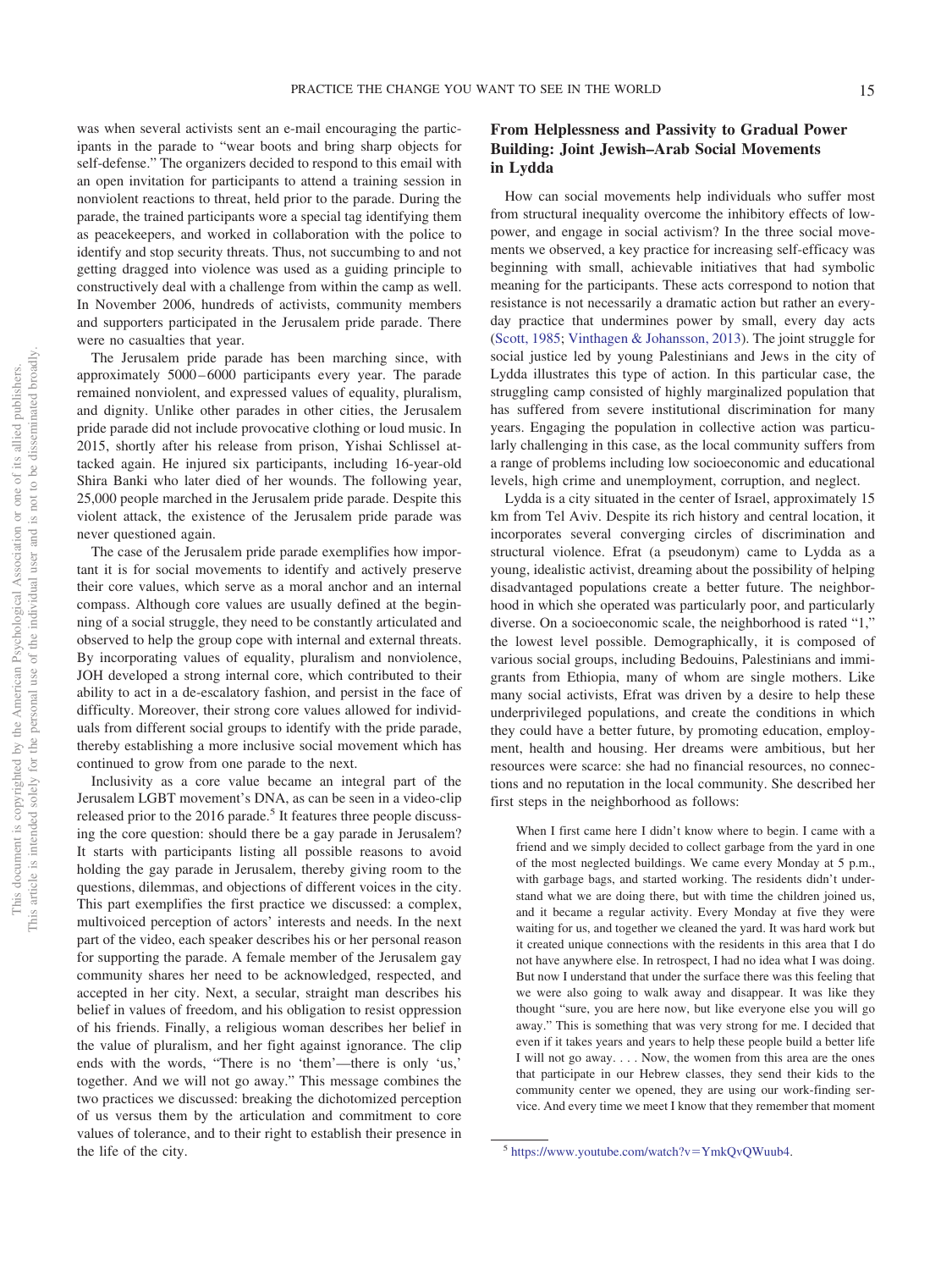was when several activists sent an e-mail encouraging the participants in the parade to "wear boots and bring sharp objects for self-defense." The organizers decided to respond to this email with an open invitation for participants to attend a training session in nonviolent reactions to threat, held prior to the parade. During the parade, the trained participants wore a special tag identifying them as peacekeepers, and worked in collaboration with the police to identify and stop security threats. Thus, not succumbing to and not getting dragged into violence was used as a guiding principle to constructively deal with a challenge from within the camp as well. In November 2006, hundreds of activists, community members and supporters participated in the Jerusalem pride parade. There were no casualties that year.

The Jerusalem pride parade has been marching since, with approximately 5000 – 6000 participants every year. The parade remained nonviolent, and expressed values of equality, pluralism, and dignity. Unlike other parades in other cities, the Jerusalem pride parade did not include provocative clothing or loud music. In 2015, shortly after his release from prison, Yishai Schlissel attacked again. He injured six participants, including 16-year-old Shira Banki who later died of her wounds. The following year, 25,000 people marched in the Jerusalem pride parade. Despite this violent attack, the existence of the Jerusalem pride parade was never questioned again.

The case of the Jerusalem pride parade exemplifies how important it is for social movements to identify and actively preserve their core values, which serve as a moral anchor and an internal compass. Although core values are usually defined at the beginning of a social struggle, they need to be constantly articulated and observed to help the group cope with internal and external threats. By incorporating values of equality, pluralism and nonviolence, JOH developed a strong internal core, which contributed to their ability to act in a de-escalatory fashion, and persist in the face of difficulty. Moreover, their strong core values allowed for individuals from different social groups to identify with the pride parade, thereby establishing a more inclusive social movement which has continued to grow from one parade to the next.

Inclusivity as a core value became an integral part of the Jerusalem LGBT movement's DNA, as can be seen in a video-clip released prior to the 2016 parade.<sup>5</sup> It features three people discussing the core question: should there be a gay parade in Jerusalem? It starts with participants listing all possible reasons to avoid holding the gay parade in Jerusalem, thereby giving room to the questions, dilemmas, and objections of different voices in the city. This part exemplifies the first practice we discussed: a complex, multivoiced perception of actors' interests and needs. In the next part of the video, each speaker describes his or her personal reason for supporting the parade. A female member of the Jerusalem gay community shares her need to be acknowledged, respected, and accepted in her city. Next, a secular, straight man describes his belief in values of freedom, and his obligation to resist oppression of his friends. Finally, a religious woman describes her belief in the value of pluralism, and her fight against ignorance. The clip ends with the words, "There is no 'them'—there is only 'us,' together. And we will not go away." This message combines the two practices we discussed: breaking the dichotomized perception of us versus them by the articulation and commitment to core values of tolerance, and to their right to establish their presence in the life of the city.

# **From Helplessness and Passivity to Gradual Power Building: Joint Jewish–Arab Social Movements in Lydda**

How can social movements help individuals who suffer most from structural inequality overcome the inhibitory effects of lowpower, and engage in social activism? In the three social movements we observed, a key practice for increasing self-efficacy was beginning with small, achievable initiatives that had symbolic meaning for the participants. These acts correspond to notion that resistance is not necessarily a dramatic action but rather an everyday practice that undermines power by small, every day acts [\(Scott, 1985;](#page-8-15) [Vinthagen & Johansson, 2013\)](#page-8-16). The joint struggle for social justice led by young Palestinians and Jews in the city of Lydda illustrates this type of action. In this particular case, the struggling camp consisted of highly marginalized population that has suffered from severe institutional discrimination for many years. Engaging the population in collective action was particularly challenging in this case, as the local community suffers from a range of problems including low socioeconomic and educational levels, high crime and unemployment, corruption, and neglect.

Lydda is a city situated in the center of Israel, approximately 15 km from Tel Aviv. Despite its rich history and central location, it incorporates several converging circles of discrimination and structural violence. Efrat (a pseudonym) came to Lydda as a young, idealistic activist, dreaming about the possibility of helping disadvantaged populations create a better future. The neighborhood in which she operated was particularly poor, and particularly diverse. On a socioeconomic scale, the neighborhood is rated "1," the lowest level possible. Demographically, it is composed of various social groups, including Bedouins, Palestinians and immigrants from Ethiopia, many of whom are single mothers. Like many social activists, Efrat was driven by a desire to help these underprivileged populations, and create the conditions in which they could have a better future, by promoting education, employment, health and housing. Her dreams were ambitious, but her resources were scarce: she had no financial resources, no connections and no reputation in the local community. She described her first steps in the neighborhood as follows:

When I first came here I didn't know where to begin. I came with a friend and we simply decided to collect garbage from the yard in one of the most neglected buildings. We came every Monday at 5 p.m., with garbage bags, and started working. The residents didn't understand what we are doing there, but with time the children joined us, and it became a regular activity. Every Monday at five they were waiting for us, and together we cleaned the yard. It was hard work but it created unique connections with the residents in this area that I do not have anywhere else. In retrospect, I had no idea what I was doing. But now I understand that under the surface there was this feeling that we were also going to walk away and disappear. It was like they thought "sure, you are here now, but like everyone else you will go away." This is something that was very strong for me. I decided that even if it takes years and years to help these people build a better life I will not go away.... Now, the women from this area are the ones that participate in our Hebrew classes, they send their kids to the community center we opened, they are using our work-finding service. And every time we meet I know that they remember that moment

 $5 \text{ https://www.youtube.com/watch?v=YmkQvQWuub4.}$  $5 \text{ https://www.youtube.com/watch?v=YmkQvQWuub4.}$  $5 \text{ https://www.youtube.com/watch?v=YmkQvQWuub4.}$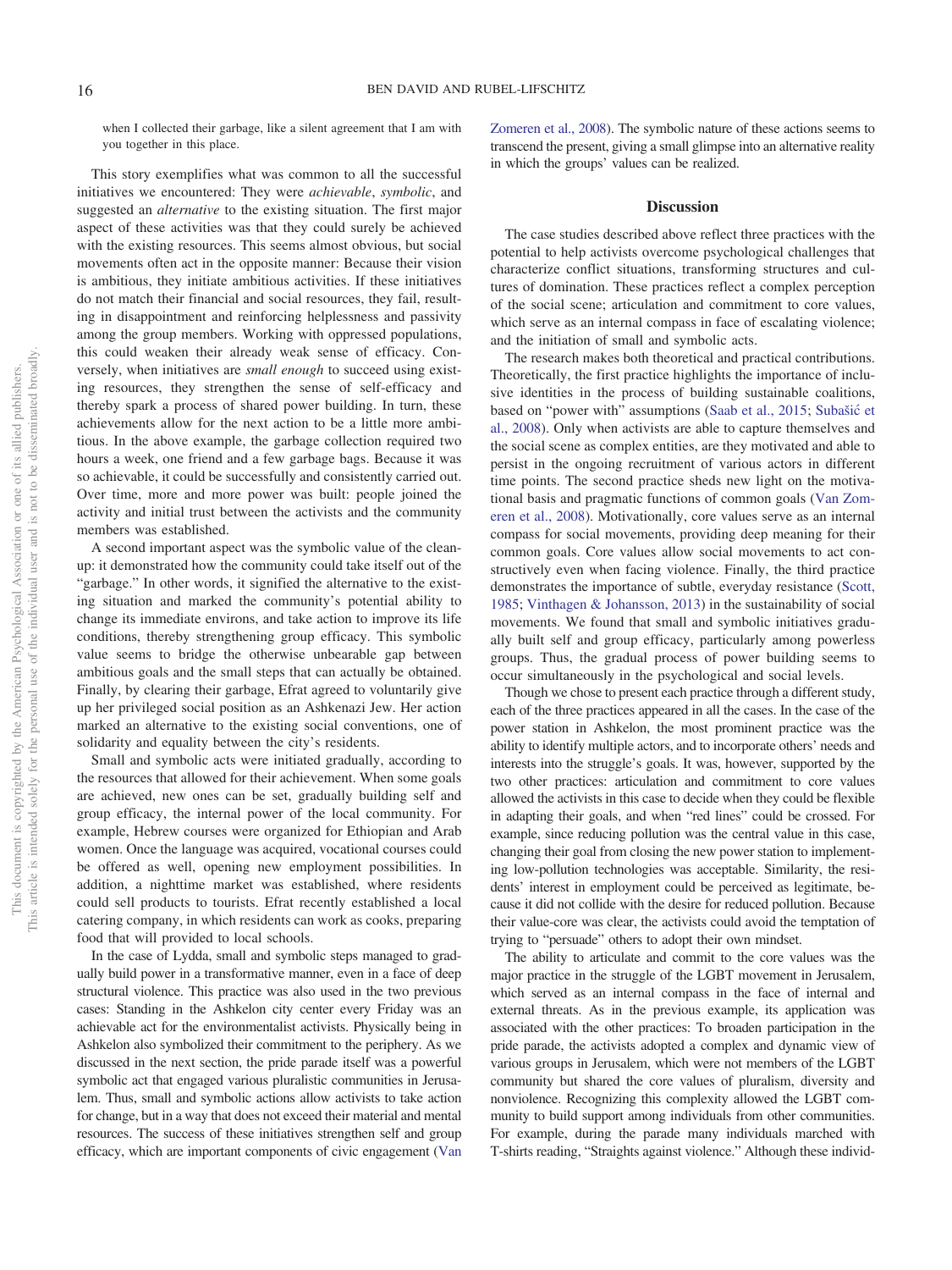when I collected their garbage, like a silent agreement that I am with you together in this place.

This story exemplifies what was common to all the successful initiatives we encountered: They were *achievable*, *symbolic*, and suggested an *alternative* to the existing situation. The first major aspect of these activities was that they could surely be achieved with the existing resources. This seems almost obvious, but social movements often act in the opposite manner: Because their vision is ambitious, they initiate ambitious activities. If these initiatives do not match their financial and social resources, they fail, resulting in disappointment and reinforcing helplessness and passivity among the group members. Working with oppressed populations, this could weaken their already weak sense of efficacy. Conversely, when initiatives are *small enough* to succeed using existing resources, they strengthen the sense of self-efficacy and thereby spark a process of shared power building. In turn, these achievements allow for the next action to be a little more ambitious. In the above example, the garbage collection required two hours a week, one friend and a few garbage bags. Because it was so achievable, it could be successfully and consistently carried out. Over time, more and more power was built: people joined the activity and initial trust between the activists and the community members was established.

A second important aspect was the symbolic value of the cleanup: it demonstrated how the community could take itself out of the "garbage." In other words, it signified the alternative to the existing situation and marked the community's potential ability to change its immediate environs, and take action to improve its life conditions, thereby strengthening group efficacy. This symbolic value seems to bridge the otherwise unbearable gap between ambitious goals and the small steps that can actually be obtained. Finally, by clearing their garbage, Efrat agreed to voluntarily give up her privileged social position as an Ashkenazi Jew. Her action marked an alternative to the existing social conventions, one of solidarity and equality between the city's residents.

Small and symbolic acts were initiated gradually, according to the resources that allowed for their achievement. When some goals are achieved, new ones can be set, gradually building self and group efficacy, the internal power of the local community. For example, Hebrew courses were organized for Ethiopian and Arab women. Once the language was acquired, vocational courses could be offered as well, opening new employment possibilities. In addition, a nighttime market was established, where residents could sell products to tourists. Efrat recently established a local catering company, in which residents can work as cooks, preparing food that will provided to local schools.

In the case of Lydda, small and symbolic steps managed to gradually build power in a transformative manner, even in a face of deep structural violence. This practice was also used in the two previous cases: Standing in the Ashkelon city center every Friday was an achievable act for the environmentalist activists. Physically being in Ashkelon also symbolized their commitment to the periphery. As we discussed in the next section, the pride parade itself was a powerful symbolic act that engaged various pluralistic communities in Jerusalem. Thus, small and symbolic actions allow activists to take action for change, but in a way that does not exceed their material and mental resources. The success of these initiatives strengthen self and group efficacy, which are important components of civic engagement [\(Van](#page-8-12) [Zomeren et al., 2008\)](#page-8-12). The symbolic nature of these actions seems to transcend the present, giving a small glimpse into an alternative reality in which the groups' values can be realized.

#### **Discussion**

The case studies described above reflect three practices with the potential to help activists overcome psychological challenges that characterize conflict situations, transforming structures and cultures of domination. These practices reflect a complex perception of the social scene; articulation and commitment to core values, which serve as an internal compass in face of escalating violence; and the initiation of small and symbolic acts.

The research makes both theoretical and practical contributions. Theoretically, the first practice highlights the importance of inclusive identities in the process of building sustainable coalitions, based on "power with" assumptions [\(Saab et al., 2015;](#page-8-6) Subašić et [al., 2008\)](#page-8-7). Only when activists are able to capture themselves and the social scene as complex entities, are they motivated and able to persist in the ongoing recruitment of various actors in different time points. The second practice sheds new light on the motivational basis and pragmatic functions of common goals [\(Van Zom](#page-8-12)[eren et al., 2008\)](#page-8-12). Motivationally, core values serve as an internal compass for social movements, providing deep meaning for their common goals. Core values allow social movements to act constructively even when facing violence. Finally, the third practice demonstrates the importance of subtle, everyday resistance [\(Scott,](#page-8-15) [1985;](#page-8-15) [Vinthagen & Johansson, 2013\)](#page-8-16) in the sustainability of social movements. We found that small and symbolic initiatives gradually built self and group efficacy, particularly among powerless groups. Thus, the gradual process of power building seems to occur simultaneously in the psychological and social levels.

Though we chose to present each practice through a different study, each of the three practices appeared in all the cases. In the case of the power station in Ashkelon, the most prominent practice was the ability to identify multiple actors, and to incorporate others' needs and interests into the struggle's goals. It was, however, supported by the two other practices: articulation and commitment to core values allowed the activists in this case to decide when they could be flexible in adapting their goals, and when "red lines" could be crossed. For example, since reducing pollution was the central value in this case, changing their goal from closing the new power station to implementing low-pollution technologies was acceptable. Similarity, the residents' interest in employment could be perceived as legitimate, because it did not collide with the desire for reduced pollution. Because their value-core was clear, the activists could avoid the temptation of trying to "persuade" others to adopt their own mindset.

The ability to articulate and commit to the core values was the major practice in the struggle of the LGBT movement in Jerusalem, which served as an internal compass in the face of internal and external threats. As in the previous example, its application was associated with the other practices: To broaden participation in the pride parade, the activists adopted a complex and dynamic view of various groups in Jerusalem, which were not members of the LGBT community but shared the core values of pluralism, diversity and nonviolence. Recognizing this complexity allowed the LGBT community to build support among individuals from other communities. For example, during the parade many individuals marched with T-shirts reading, "Straights against violence." Although these individ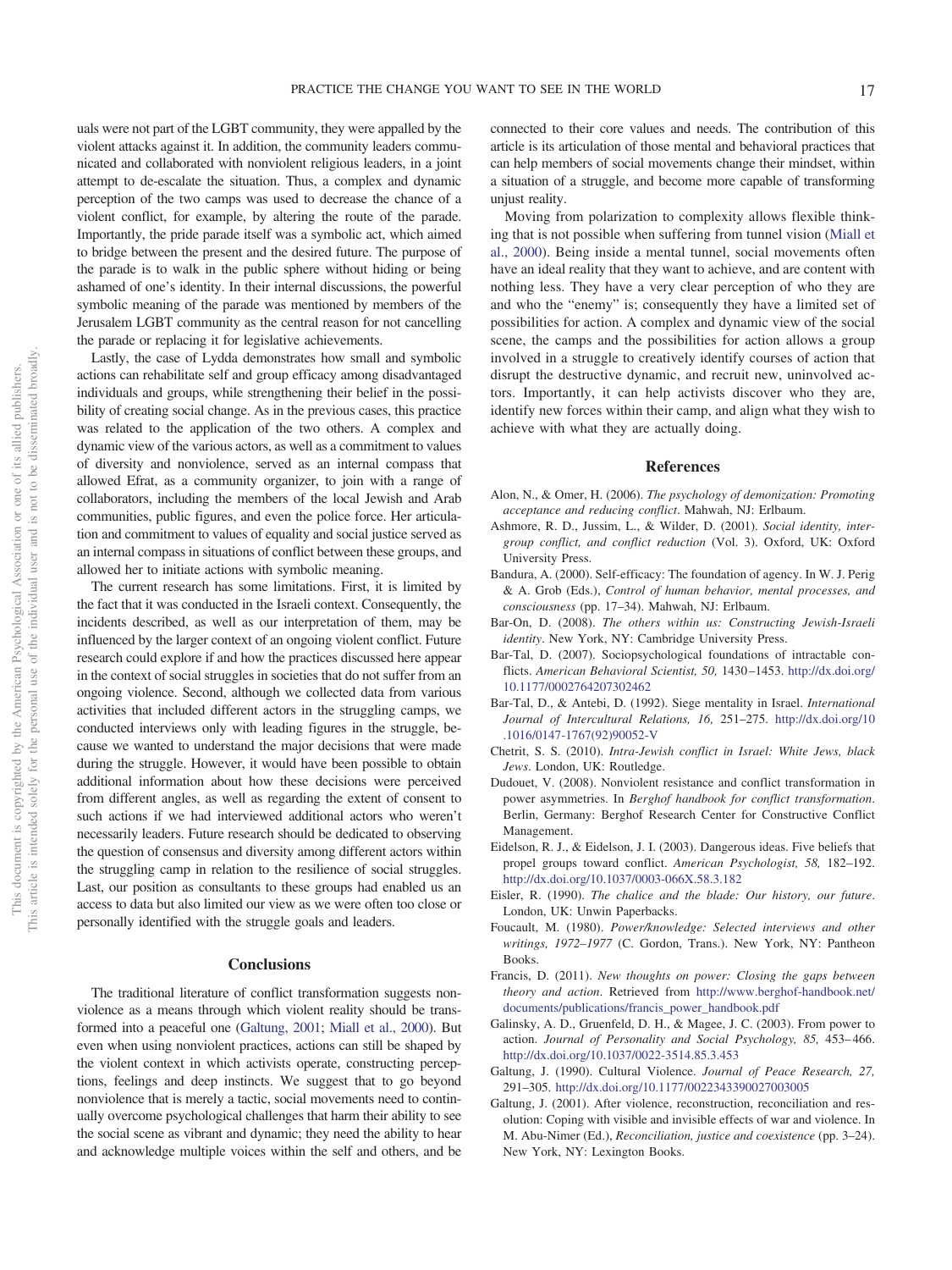uals were not part of the LGBT community, they were appalled by the violent attacks against it. In addition, the community leaders communicated and collaborated with nonviolent religious leaders, in a joint attempt to de-escalate the situation. Thus, a complex and dynamic perception of the two camps was used to decrease the chance of a violent conflict, for example, by altering the route of the parade. Importantly, the pride parade itself was a symbolic act, which aimed to bridge between the present and the desired future. The purpose of the parade is to walk in the public sphere without hiding or being ashamed of one's identity. In their internal discussions, the powerful symbolic meaning of the parade was mentioned by members of the Jerusalem LGBT community as the central reason for not cancelling the parade or replacing it for legislative achievements.

Lastly, the case of Lydda demonstrates how small and symbolic actions can rehabilitate self and group efficacy among disadvantaged individuals and groups, while strengthening their belief in the possibility of creating social change. As in the previous cases, this practice was related to the application of the two others. A complex and dynamic view of the various actors, as well as a commitment to values of diversity and nonviolence, served as an internal compass that allowed Efrat, as a community organizer, to join with a range of collaborators, including the members of the local Jewish and Arab communities, public figures, and even the police force. Her articulation and commitment to values of equality and social justice served as an internal compass in situations of conflict between these groups, and allowed her to initiate actions with symbolic meaning.

The current research has some limitations. First, it is limited by the fact that it was conducted in the Israeli context. Consequently, the incidents described, as well as our interpretation of them, may be influenced by the larger context of an ongoing violent conflict. Future research could explore if and how the practices discussed here appear in the context of social struggles in societies that do not suffer from an ongoing violence. Second, although we collected data from various activities that included different actors in the struggling camps, we conducted interviews only with leading figures in the struggle, because we wanted to understand the major decisions that were made during the struggle. However, it would have been possible to obtain additional information about how these decisions were perceived from different angles, as well as regarding the extent of consent to such actions if we had interviewed additional actors who weren't necessarily leaders. Future research should be dedicated to observing the question of consensus and diversity among different actors within the struggling camp in relation to the resilience of social struggles. Last, our position as consultants to these groups had enabled us an access to data but also limited our view as we were often too close or personally identified with the struggle goals and leaders.

#### **Conclusions**

The traditional literature of conflict transformation suggests nonviolence as a means through which violent reality should be transformed into a peaceful one [\(Galtung, 2001;](#page-7-1) [Miall et al., 2000\)](#page-8-0). But even when using nonviolent practices, actions can still be shaped by the violent context in which activists operate, constructing perceptions, feelings and deep instincts. We suggest that to go beyond nonviolence that is merely a tactic, social movements need to continually overcome psychological challenges that harm their ability to see the social scene as vibrant and dynamic; they need the ability to hear and acknowledge multiple voices within the self and others, and be

connected to their core values and needs. The contribution of this article is its articulation of those mental and behavioral practices that can help members of social movements change their mindset, within a situation of a struggle, and become more capable of transforming unjust reality.

Moving from polarization to complexity allows flexible thinking that is not possible when suffering from tunnel vision [\(Miall et](#page-8-0) [al., 2000\)](#page-8-0). Being inside a mental tunnel, social movements often have an ideal reality that they want to achieve, and are content with nothing less. They have a very clear perception of who they are and who the "enemy" is; consequently they have a limited set of possibilities for action. A complex and dynamic view of the social scene, the camps and the possibilities for action allows a group involved in a struggle to creatively identify courses of action that disrupt the destructive dynamic, and recruit new, uninvolved actors. Importantly, it can help activists discover who they are, identify new forces within their camp, and align what they wish to achieve with what they are actually doing.

### **References**

- <span id="page-7-5"></span>Alon, N., & Omer, H. (2006). *The psychology of demonization: Promoting acceptance and reducing conflict*. Mahwah, NJ: Erlbaum.
- <span id="page-7-11"></span>Ashmore, R. D., Jussim, L., & Wilder, D. (2001). *Social identity, intergroup conflict, and conflict reduction* (Vol. 3). Oxford, UK: Oxford University Press.
- <span id="page-7-4"></span>Bandura, A. (2000). Self-efficacy: The foundation of agency. In W. J. Perig & A. Grob (Eds.), *Control of human behavior, mental processes, and consciousness* (pp. 17–34). Mahwah, NJ: Erlbaum.
- <span id="page-7-2"></span>Bar-On, D. (2008). *The others within us: Constructing Jewish-Israeli identity*. New York, NY: Cambridge University Press.
- <span id="page-7-6"></span>Bar-Tal, D. (2007). Sociopsychological foundations of intractable conflicts. *American Behavioral Scientist, 50,* 1430 –1453. [http://dx.doi.org/](http://dx.doi.org/10.1177/0002764207302462) [10.1177/0002764207302462](http://dx.doi.org/10.1177/0002764207302462)
- <span id="page-7-12"></span>Bar-Tal, D., & Antebi, D. (1992). Siege mentality in Israel. *International Journal of Intercultural Relations, 16,* 251–275. [http://dx.doi.org/10](http://dx.doi.org/10.1016/0147-1767%2892%2990052-V) [.1016/0147-1767\(92\)90052-V](http://dx.doi.org/10.1016/0147-1767%2892%2990052-V)
- <span id="page-7-14"></span>Chetrit, S. S. (2010). *Intra-Jewish conflict in Israel: White Jews, black Jews*. London, UK: Routledge.
- <span id="page-7-10"></span>Dudouet, V. (2008). Nonviolent resistance and conflict transformation in power asymmetries. In *Berghof handbook for conflict transformation*. Berlin, Germany: Berghof Research Center for Constructive Conflict Management.
- <span id="page-7-3"></span>Eidelson, R. J., & Eidelson, J. I. (2003). Dangerous ideas. Five beliefs that propel groups toward conflict. *American Psychologist, 58,* 182–192. <http://dx.doi.org/10.1037/0003-066X.58.3.182>
- <span id="page-7-8"></span>Eisler, R. (1990). *The chalice and the blade: Our history, our future*. London, UK: Unwin Paperbacks.
- <span id="page-7-9"></span>Foucault, M. (1980). *Power/knowledge: Selected interviews and other writings, 1972–1977* (C. Gordon, Trans.). New York, NY: Pantheon Books.
- <span id="page-7-7"></span>Francis, D. (2011). *New thoughts on power: Closing the gaps between theory and action*. Retrieved from [http://www.berghof-handbook.net/](http://www.berghof-handbook.net/documents/publications/francis_power_handbook.pdf) [documents/publications/francis\\_power\\_handbook.pdf](http://www.berghof-handbook.net/documents/publications/francis_power_handbook.pdf)
- <span id="page-7-13"></span>Galinsky, A. D., Gruenfeld, D. H., & Magee, J. C. (2003). From power to action. *Journal of Personality and Social Psychology, 85,* 453– 466. <http://dx.doi.org/10.1037/0022-3514.85.3.453>
- <span id="page-7-0"></span>Galtung, J. (1990). Cultural Violence. *Journal of Peace Research, 27,* 291–305. <http://dx.doi.org/10.1177/0022343390027003005>
- <span id="page-7-1"></span>Galtung, J. (2001). After violence, reconstruction, reconciliation and resolution: Coping with visible and invisible effects of war and violence. In M. Abu-Nimer (Ed.), *Reconciliation, justice and coexistence* (pp. 3–24). New York, NY: Lexington Books.